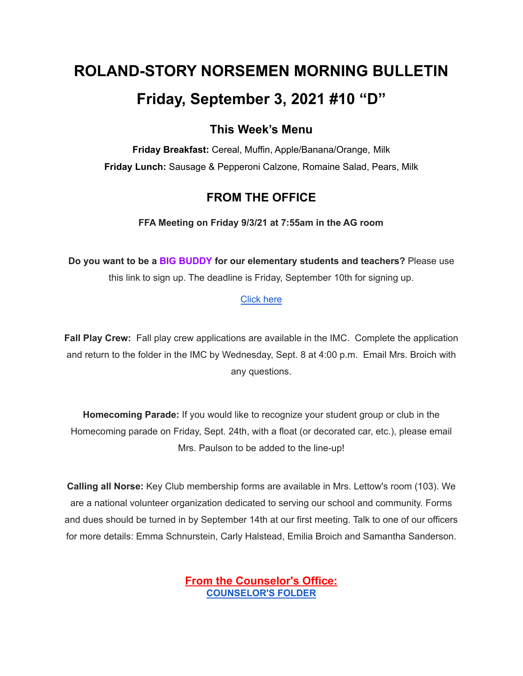# **ROLAND-STORY NORSEMEN MORNING BULLETIN Friday, September 3, 2021 #10 "D"**

# **This Week's Menu**

**Friday Breakfast:** Cereal, Muffin, Apple/Banana/Orange, Milk **Friday Lunch:** Sausage & Pepperoni Calzone, Romaine Salad, Pears, Milk

# **FROM THE OFFICE**

**FFA Meeting on Friday 9/3/21 at 7:55am in the AG room**

**Do you want to be a BIG BUDDY for our elementary students and teachers?** Please use this link to sign up. The deadline is Friday, September 10th for signing up.

## [Click](https://docs.google.com/forms/d/e/1FAIpQLSdnBOSS22yKxjrGxKALRfMidQdbVCa4CbkF2FpWLlV-1YgPew/viewform?usp=sf_) here

**Fall Play Crew:** Fall play crew applications are available in the IMC. Complete the application and return to the folder in the IMC by Wednesday, Sept. 8 at 4:00 p.m. Email Mrs. Broich with any questions.

**Homecoming Parade:** If you would like to recognize your student group or club in the Homecoming parade on Friday, Sept. 24th, with a float (or decorated car, etc.), please email Mrs. Paulson to be added to the line-up!

**Calling all Norse:** Key Club membership forms are available in Mrs. Lettow's room (103). We are a national volunteer organization dedicated to serving our school and community. Forms and dues should be turned in by September 14th at our first meeting. Talk to one of our officers for more details: Emma Schnurstein, Carly Halstead, Emilia Broich and Samantha Sanderson.

> **From the Counselor's Office: [COUNSELOR'S](https://docs.google.com/document/d/1vmwczNPbDzXe9vFaG5LJMQ7NYDv-i4oQJHybqA65TUc/edit?usp=sharing) FOLDER**